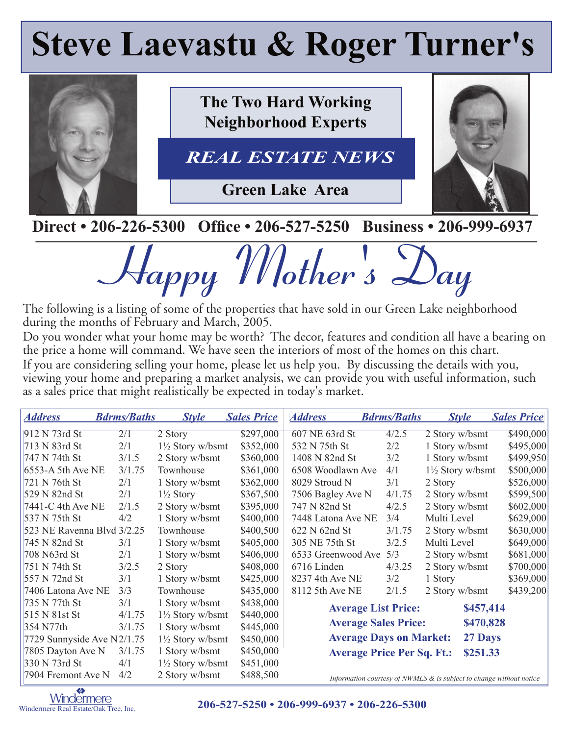# **Steve Laevastu & Roger Turner's**



**The Two Hard Working Neighborhood Experts**

REAL ESTATE NEWS *REAL ESTATE NEWS*

**Green Lake Area**



**Direct • 206-226-5300 Office • 206-527-5250 Business • 206-999-6937** 

**Happy Mother's Day**

The following is a listing of some of the properties that have sold in our Green Lake neighborhood during the months of February and March, 2005.

Do you wonder what your home may be worth? The decor, features and condition all have a bearing on the price a home will command. We have seen the interiors of most of the homes on this chart. If you are considering selling your home, please let us help you. By discussing the details with you, viewing your home and preparing a market analysis, we can provide you with useful information, such as a sales price that might realistically be expected in today's market.

| <b>Address</b>               | <b>Bdrms/Baths</b> | <b>Style</b>                | <b>Sales Price</b> | <b>Address</b>                            | <b>Bdrms/Baths</b>                | <b>Style</b>                                                           | <b>Sales Price</b> |
|------------------------------|--------------------|-----------------------------|--------------------|-------------------------------------------|-----------------------------------|------------------------------------------------------------------------|--------------------|
| 912 N 73rd St                | 2/1                | 2 Story                     | \$297,000          | 607 NE 63rd St                            | 4/2.5                             | 2 Story w/bsmt                                                         | \$490,000          |
| 713 N 83rd St                | 2/1                | $1\frac{1}{2}$ Story w/bsmt | \$352,000          | 532 N 75th St                             | 2/2                               | 1 Story w/bsmt                                                         | \$495,000          |
| 747 N 74th St                | 3/1.5              | 2 Story w/bsmt              | \$360,000          | 1408 N 82nd St                            | 3/2                               | 1 Story w/bsmt                                                         | \$499,950          |
| 6553-A 5th Ave NE            | 3/1.75             | Townhouse                   | \$361,000          | 6508 Woodlawn Ave                         | 4/1                               | $1\frac{1}{2}$ Story w/bsmt                                            | \$500,000          |
| 721 N 76th St                | 2/1                | 1 Story w/bsmt              | \$362,000          | 8029 Stroud N                             | 3/1                               | 2 Story                                                                | \$526,000          |
| 529 N 82nd St                | 2/1                | $1\frac{1}{2}$ Story        | \$367,500          | 7506 Bagley Ave N                         | 4/1.75                            | 2 Story w/bsmt                                                         | \$599,500          |
| 7441-C 4th Ave NE            | 2/1.5              | 2 Story w/bsmt              | \$395,000          | 747 N 82nd St                             | 4/2.5                             | 2 Story w/bsmt                                                         | \$602,000          |
| 537 N 75th St                | 4/2                | 1 Story w/bsmt              | \$400,000          | 7448 Latona Ave NE                        | 3/4                               | Multi Level                                                            | \$629,000          |
| 523 NE Ravenna Blvd 3/2.25   |                    | Townhouse                   | \$400,500          | 622 N 62nd St                             | 3/1.75                            | 2 Story w/bsmt                                                         | \$630,000          |
| 745 N 82nd St                | 3/1                | 1 Story w/bsmt              | \$405,000          | 305 NE 75th St                            | 3/2.5                             | Multi Level                                                            | \$649,000          |
| 708 N63rd St                 | 2/1                | 1 Story w/bsmt              | \$406,000          | 6533 Greenwood Ave                        | 5/3                               | 2 Story w/bsmt                                                         | \$681,000          |
| 751 N 74th St                | 3/2.5              | 2 Story                     | \$408,000          | 6716 Linden                               | 4/3.25                            | 2 Story w/bsmt                                                         | \$700,000          |
| 557 N 72nd St                | 3/1                | 1 Story w/bsmt              | \$425,000          | 8237 4th Ave NE                           | 3/2                               | 1 Story                                                                | \$369,000          |
| 7406 Latona Ave NE           | 3/3                | Townhouse                   | \$435,000          | 8112 5th Ave NE                           | 2/1.5                             | 2 Story w/bsmt                                                         | \$439,200          |
| 735 N 77th St                | 3/1                | 1 Story w/bsmt              | \$438,000          |                                           | <b>Average List Price:</b>        | \$457,414                                                              |                    |
| 515 N 81st St                | 4/1.75             | $1\frac{1}{2}$ Story w/bsmt | \$440,000          |                                           |                                   |                                                                        |                    |
| 354 N77th                    | 3/1.75             | 1 Story w/bsmt              | \$445,000          |                                           | <b>Average Sales Price:</b>       | \$470,828                                                              |                    |
| 7729 Sunnyside Ave $N2/1.75$ |                    | $1\frac{1}{2}$ Story w/bsmt | \$450,000          | <b>Average Days on Market:</b><br>27 Days |                                   |                                                                        |                    |
| 7805 Dayton Ave N            | 3/1.75             | 1 Story w/bsmt              | \$450,000          |                                           | <b>Average Price Per Sq. Ft.:</b> | \$251.33                                                               |                    |
| 330 N 73rd St                | 4/1                | $1\frac{1}{2}$ Story w/bsmt | \$451,000          |                                           |                                   |                                                                        |                    |
| 7904 Fremont Ave N           | 4/2                | 2 Story w/bsmt              | \$488,500          |                                           |                                   | Information courtesy of NWMLS $\&$ is subject to change without notice |                    |